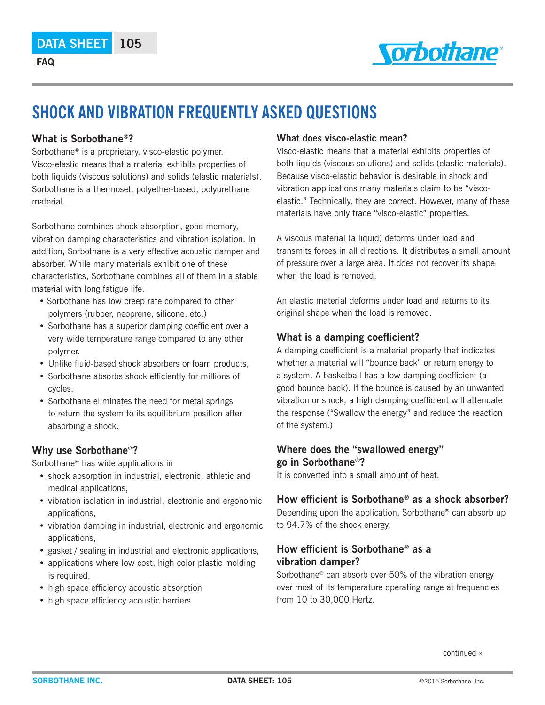

# **SHOCK AND VIBRATION FREQUENTLY ASKED QUESTIONS**

#### **What is Sorbothane®?**

Sorbothane® is a proprietary, visco-elastic polymer. Visco-elastic means that a material exhibits properties of both liquids (viscous solutions) and solids (elastic materials). Sorbothane is a thermoset, polyether-based, polyurethane material.

Sorbothane combines shock absorption, good memory, vibration damping characteristics and vibration isolation. In addition, Sorbothane is a very effective acoustic damper and absorber. While many materials exhibit one of these characteristics, Sorbothane combines all of them in a stable material with long fatigue life.

- Sorbothane has low creep rate compared to other polymers (rubber, neoprene, silicone, etc.)
- Sorbothane has a superior damping coefficient over a very wide temperature range compared to any other polymer.
- Unlike fluid-based shock absorbers or foam products,
- Sorbothane absorbs shock efficiently for millions of cycles.
- Sorbothane eliminates the need for metal springs to return the system to its equilibrium position after absorbing a shock.

## **Why use Sorbothane®?**

Sorbothane® has wide applications in

- shock absorption in industrial, electronic, athletic and medical applications,
- vibration isolation in industrial, electronic and ergonomic applications,
- vibration damping in industrial, electronic and ergonomic applications,
- gasket / sealing in industrial and electronic applications,
- applications where low cost, high color plastic molding is required,
- high space efficiency acoustic absorption
- high space efficiency acoustic barriers

#### **What does visco-elastic mean?**

Visco-elastic means that a material exhibits properties of both liquids (viscous solutions) and solids (elastic materials). Because visco-elastic behavior is desirable in shock and vibration applications many materials claim to be "viscoelastic." Technically, they are correct. However, many of these materials have only trace "visco-elastic" properties.

A viscous material (a liquid) deforms under load and transmits forces in all directions. It distributes a small amount of pressure over a large area. It does not recover its shape when the load is removed.

An elastic material deforms under load and returns to its original shape when the load is removed.

## **What is a damping coefficient?**

A damping coefficient is a material property that indicates whether a material will "bounce back" or return energy to a system. A basketball has a low damping coefficient (a good bounce back). If the bounce is caused by an unwanted vibration or shock, a high damping coefficient will attenuate the response ("Swallow the energy" and reduce the reaction of the system.)

## **Where does the "swallowed energy" go in Sorbothane®?**

It is converted into a small amount of heat.

## **How efficient is Sorbothane® as a shock absorber?**

Depending upon the application, Sorbothane® can absorb up to 94.7% of the shock energy.

## **How efficient is Sorbothane® as a vibration damper?**

Sorbothane® can absorb over 50% of the vibration energy over most of its temperature operating range at frequencies from 10 to 30,000 Hertz.